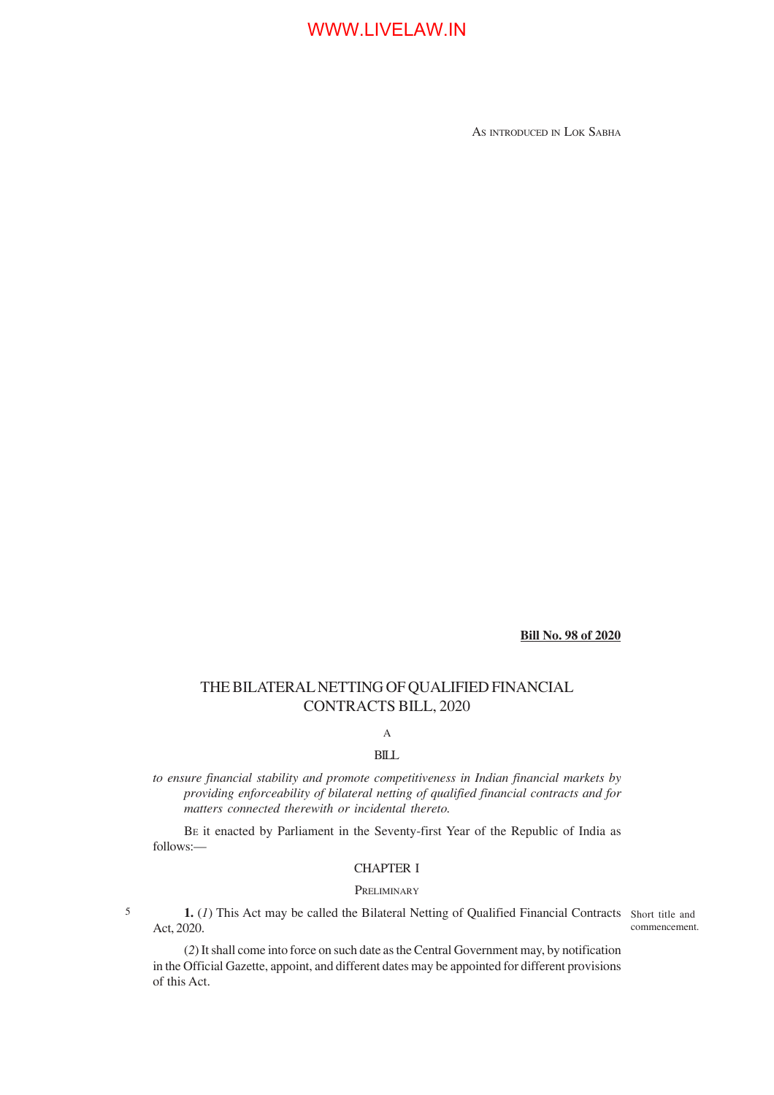AS INTRODUCED IN LOK SABHA

**Bill No. 98 of 2020**

# THE BILATERAL NETTING OF QUALIFIED FINANCIAL CONTRACTS BILL, 2020

# A

## BILL

*to ensure financial stability and promote competitiveness in Indian financial markets by providing enforceability of bilateral netting of qualified financial contracts and for matters connected therewith or incidental thereto.*

BE it enacted by Parliament in the Seventy-first Year of the Republic of India as follows:—

### CHAPTER I

### **PRELIMINARY**

5

1. (1) This Act may be called the Bilateral Netting of Qualified Financial Contracts Short title and Act, 2020.

commencement.

(*2*) It shall come into force on such date as the Central Government may, by notification in the Official Gazette, appoint, and different dates may be appointed for different provisions of this Act.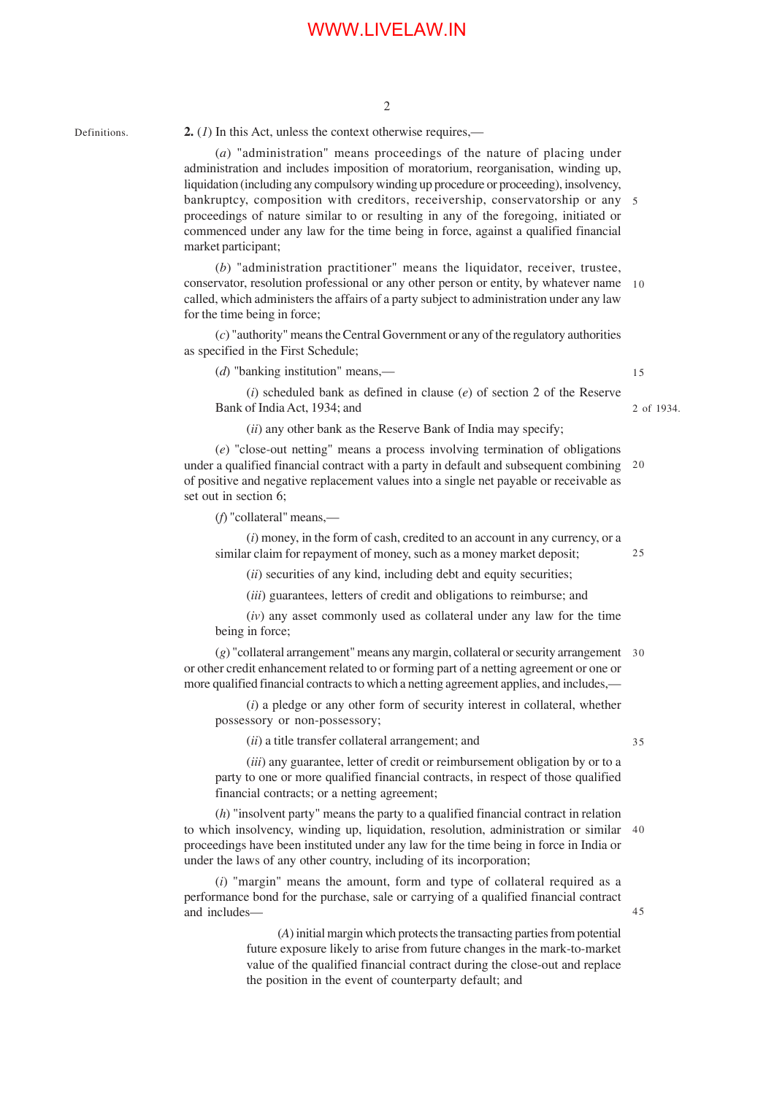2

Definitions.

**2.** (*1*) In this Act, unless the context otherwise requires,—

(*a*) "administration" means proceedings of the nature of placing under administration and includes imposition of moratorium, reorganisation, winding up, liquidation (including any compulsory winding up procedure or proceeding), insolvency, bankruptcy, composition with creditors, receivership, conservatorship or any 5 proceedings of nature similar to or resulting in any of the foregoing, initiated or commenced under any law for the time being in force, against a qualified financial market participant;

(*b*) "administration practitioner" means the liquidator, receiver, trustee, conservator, resolution professional or any other person or entity, by whatever name 10 called, which administers the affairs of a party subject to administration under any law for the time being in force;

(*c*) "authority" means the Central Government or any of the regulatory authorities as specified in the First Schedule;

(*d*) "banking institution" means,—

15

2 of 1934.

(*i*) scheduled bank as defined in clause (*e*) of section 2 of the Reserve Bank of India Act, 1934; and

(*ii*) any other bank as the Reserve Bank of India may specify;

(*e*) "close-out netting" means a process involving termination of obligations under a qualified financial contract with a party in default and subsequent combining 20 of positive and negative replacement values into a single net payable or receivable as set out in section 6;

(*f*) "collateral" means,—

(*i*) money, in the form of cash, credited to an account in any currency, or a similar claim for repayment of money, such as a money market deposit;

(*ii*) securities of any kind, including debt and equity securities;

(*iii*) guarantees, letters of credit and obligations to reimburse; and

(*iv*) any asset commonly used as collateral under any law for the time being in force;

(*g*) "collateral arrangement" means any margin, collateral or security arrangement 30 or other credit enhancement related to or forming part of a netting agreement or one or more qualified financial contracts to which a netting agreement applies, and includes,

(*i*) a pledge or any other form of security interest in collateral, whether possessory or non-possessory;

(*ii*) a title transfer collateral arrangement; and

(*iii*) any guarantee, letter of credit or reimbursement obligation by or to a party to one or more qualified financial contracts, in respect of those qualified financial contracts; or a netting agreement;

(*h*) "insolvent party" means the party to a qualified financial contract in relation to which insolvency, winding up, liquidation, resolution, administration or similar 40 proceedings have been instituted under any law for the time being in force in India or under the laws of any other country, including of its incorporation;

(*i*) "margin" means the amount, form and type of collateral required as a performance bond for the purchase, sale or carrying of a qualified financial contract and includes—

> (*A*) initial margin which protects the transacting parties from potential future exposure likely to arise from future changes in the mark-to-market value of the qualified financial contract during the close-out and replace the position in the event of counterparty default; and

35

25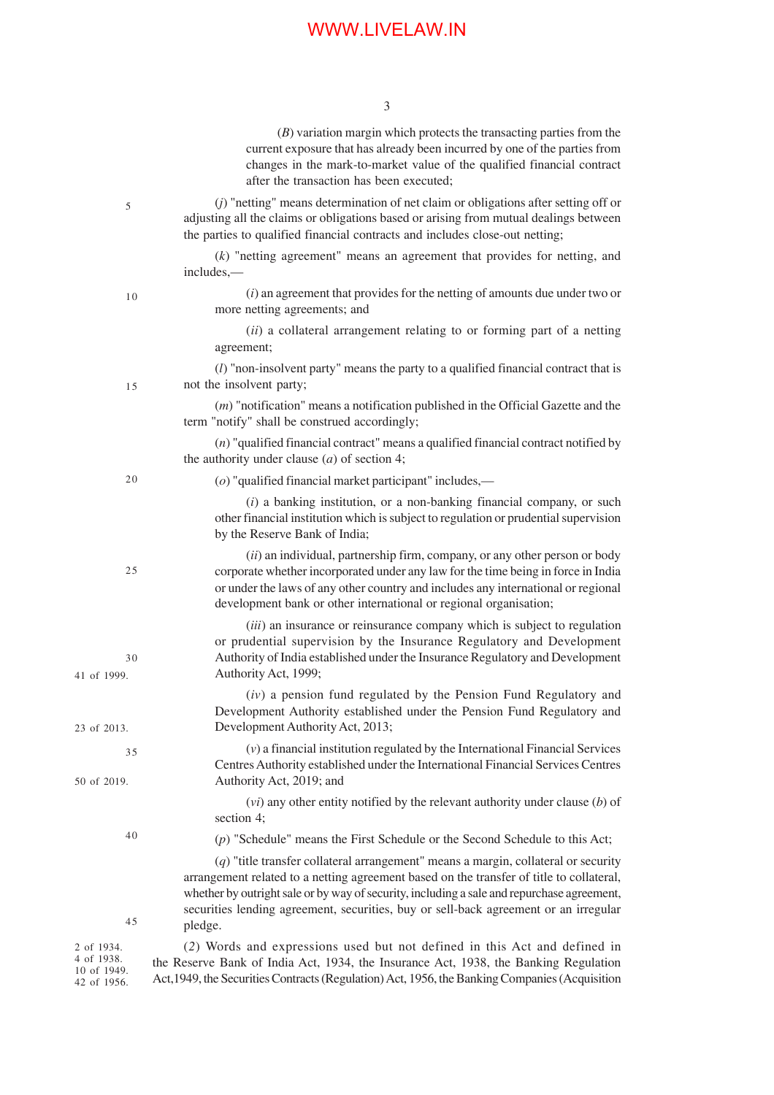|                                                        | $(B)$ variation margin which protects the transacting parties from the<br>current exposure that has already been incurred by one of the parties from<br>changes in the mark-to-market value of the qualified financial contract<br>after the transaction has been executed;                                                                                                       |
|--------------------------------------------------------|-----------------------------------------------------------------------------------------------------------------------------------------------------------------------------------------------------------------------------------------------------------------------------------------------------------------------------------------------------------------------------------|
| 5                                                      | $(j)$ "netting" means determination of net claim or obligations after setting off or<br>adjusting all the claims or obligations based or arising from mutual dealings between<br>the parties to qualified financial contracts and includes close-out netting;                                                                                                                     |
|                                                        | $(k)$ "netting agreement" means an agreement that provides for netting, and<br>includes,—                                                                                                                                                                                                                                                                                         |
| 10                                                     | $(i)$ an agreement that provides for the netting of amounts due under two or<br>more netting agreements; and                                                                                                                                                                                                                                                                      |
|                                                        | (ii) a collateral arrangement relating to or forming part of a netting<br>agreement;                                                                                                                                                                                                                                                                                              |
| 15                                                     | $(l)$ "non-insolvent party" means the party to a qualified financial contract that is<br>not the insolvent party;                                                                                                                                                                                                                                                                 |
|                                                        | $(m)$ "notification" means a notification published in the Official Gazette and the<br>term "notify" shall be construed accordingly;                                                                                                                                                                                                                                              |
|                                                        | $(n)$ "qualified financial contract" means a qualified financial contract notified by<br>the authority under clause $(a)$ of section 4;                                                                                                                                                                                                                                           |
| 20                                                     | $(o)$ "qualified financial market participant" includes,—                                                                                                                                                                                                                                                                                                                         |
|                                                        | $(i)$ a banking institution, or a non-banking financial company, or such<br>other financial institution which is subject to regulation or prudential supervision<br>by the Reserve Bank of India;                                                                                                                                                                                 |
| 25                                                     | $(ii)$ an individual, partnership firm, company, or any other person or body<br>corporate whether incorporated under any law for the time being in force in India<br>or under the laws of any other country and includes any international or regional<br>development bank or other international or regional organisation;                                                       |
| 30<br>41 of 1999.                                      | (iii) an insurance or reinsurance company which is subject to regulation<br>or prudential supervision by the Insurance Regulatory and Development<br>Authority of India established under the Insurance Regulatory and Development<br>Authority Act, 1999;                                                                                                                        |
| 23 of 2013.                                            | $(iv)$ a pension fund regulated by the Pension Fund Regulatory and<br>Development Authority established under the Pension Fund Regulatory and<br>Development Authority Act, 2013;                                                                                                                                                                                                 |
| 35                                                     | $(v)$ a financial institution regulated by the International Financial Services<br>Centres Authority established under the International Financial Services Centres                                                                                                                                                                                                               |
| 50 of 2019.                                            | Authority Act, 2019; and<br>$(vi)$ any other entity notified by the relevant authority under clause $(b)$ of<br>section 4;                                                                                                                                                                                                                                                        |
| 40                                                     | $(p)$ "Schedule" means the First Schedule or the Second Schedule to this Act;                                                                                                                                                                                                                                                                                                     |
| 45                                                     | $(q)$ "title transfer collateral arrangement" means a margin, collateral or security<br>arrangement related to a netting agreement based on the transfer of title to collateral,<br>whether by outright sale or by way of security, including a sale and repurchase agreement,<br>securities lending agreement, securities, buy or sell-back agreement or an irregular<br>pledge. |
| 2 of 1934.<br>4 of 1938.<br>10 of 1949.<br>42 of 1956. | (2) Words and expressions used but not defined in this Act and defined in<br>the Reserve Bank of India Act, 1934, the Insurance Act, 1938, the Banking Regulation<br>Act, 1949, the Securities Contracts (Regulation) Act, 1956, the Banking Companies (Acquisition                                                                                                               |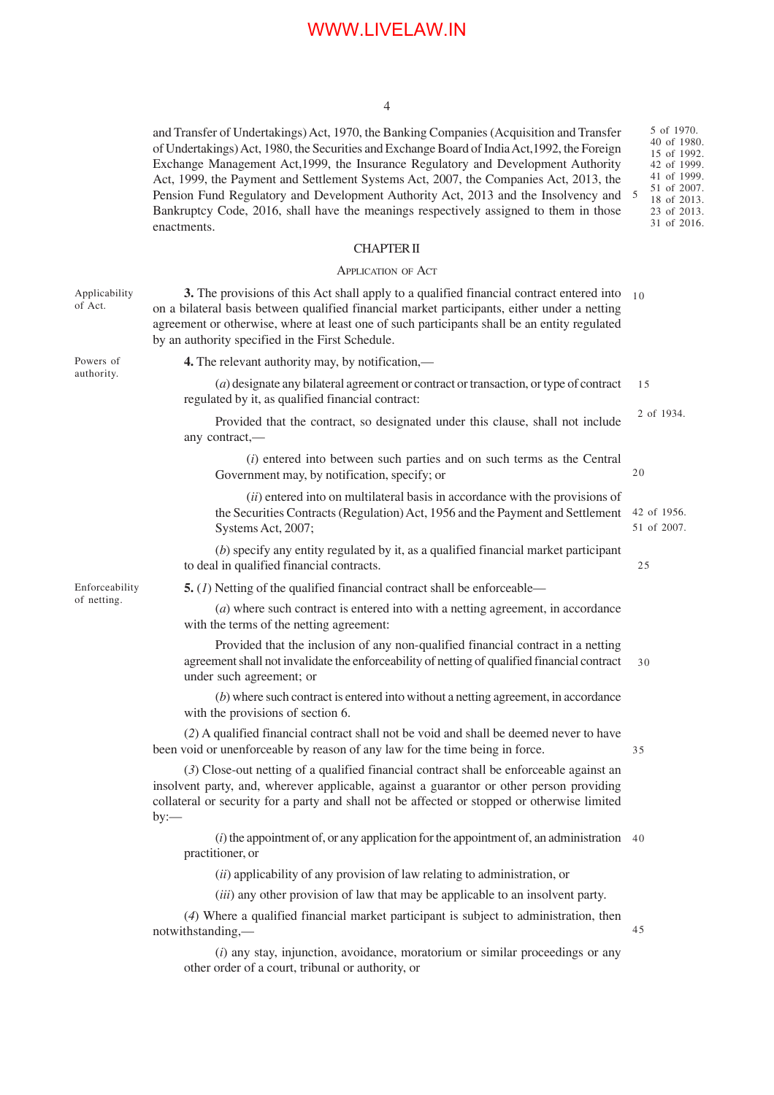#### 4

and Transfer of Undertakings) Act, 1970, the Banking Companies (Acquisition and Transfer of Undertakings) Act, 1980, the Securities and Exchange Board of India Act,1992, the Foreign Exchange Management Act,1999, the Insurance Regulatory and Development Authority Act, 1999, the Payment and Settlement Systems Act, 2007, the Companies Act, 2013, the Pension Fund Regulatory and Development Authority Act, 2013 and the Insolvency and Bankruptcy Code, 2016, shall have the meanings respectively assigned to them in those enactments. 5 of 1970. 5

#### CHAPTER II

#### APPLICATION OF ACT

**3.** The provisions of this Act shall apply to a qualified financial contract entered into <sub>10</sub> on a bilateral basis between qualified financial market participants, either under a netting agreement or otherwise, where at least one of such participants shall be an entity regulated by an authority specified in the First Schedule.

**4.** The relevant authority may, by notification,—

(*a*) designate any bilateral agreement or contract or transaction, or type of contract regulated by it, as qualified financial contract: 15

Provided that the contract, so designated under this clause, shall not include any contract,—

(*i*) entered into between such parties and on such terms as the Central Government may, by notification, specify; or

(*ii*) entered into on multilateral basis in accordance with the provisions of the Securities Contracts (Regulation) Act, 1956 and the Payment and Settlement 42 of 1956. Systems Act, 2007;

(*b*) specify any entity regulated by it, as a qualified financial market participant to deal in qualified financial contracts.

**5.** (*1*) Netting of the qualified financial contract shall be enforceable—

(*a*) where such contract is entered into with a netting agreement, in accordance with the terms of the netting agreement:

Provided that the inclusion of any non-qualified financial contract in a netting agreement shall not invalidate the enforceability of netting of qualified financial contract under such agreement; or 30

(*b*) where such contract is entered into without a netting agreement, in accordance with the provisions of section 6.

(*2*) A qualified financial contract shall not be void and shall be deemed never to have been void or unenforceable by reason of any law for the time being in force.

(*3*) Close-out netting of a qualified financial contract shall be enforceable against an insolvent party, and, wherever applicable, against a guarantor or other person providing collateral or security for a party and shall not be affected or stopped or otherwise limited by:—

(*i*) the appointment of, or any application for the appointment of, an administration 40 practitioner, or

(*ii*) applicability of any provision of law relating to administration, or

(*iii*) any other provision of law that may be applicable to an insolvent party.

(*4*) Where a qualified financial market participant is subject to administration, then notwithstanding,— 45

(*i*) any stay, injunction, avoidance, moratorium or similar proceedings or any other order of a court, tribunal or authority, or

Enforceability of netting.

Applicability of Act.

Powers of authority.

40 of 1980. 15 of 1992. 42 of 1999. 41 of 1999. 51 of 2007. 18 of 2013. 23 of 2013. 31 of 2016.

20

2 of 1934.

51 of 2007.

25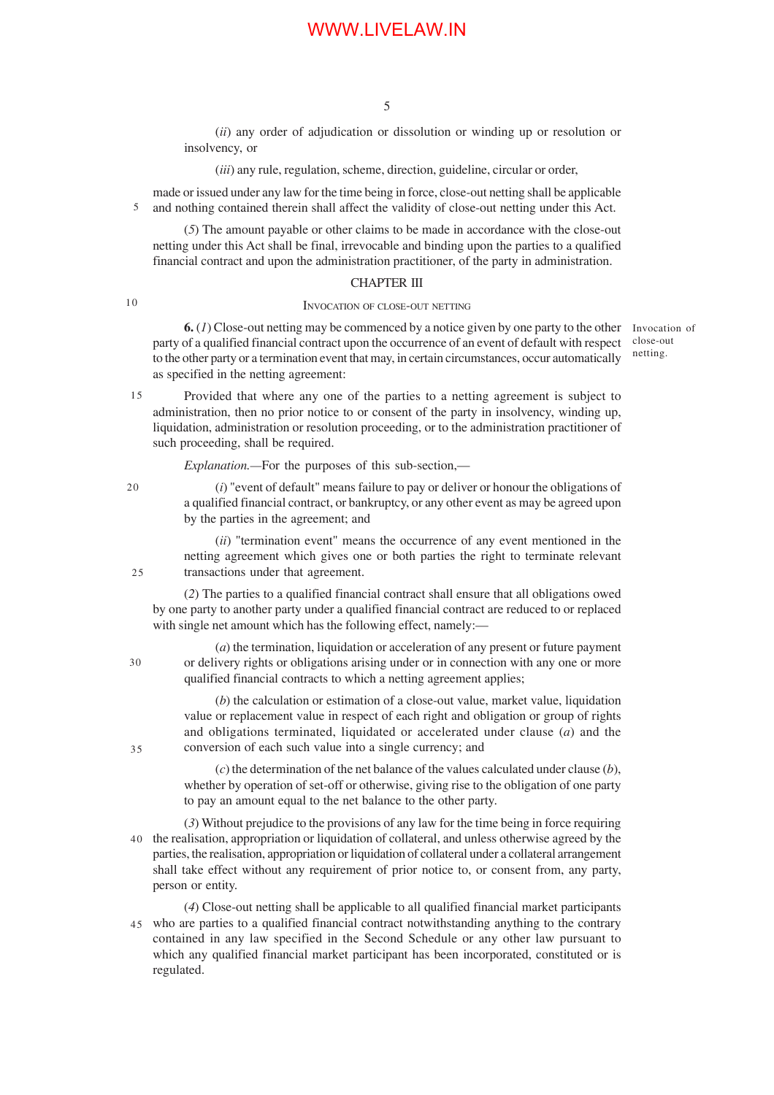(*ii*) any order of adjudication or dissolution or winding up or resolution or insolvency, or

(*iii*) any rule, regulation, scheme, direction, guideline, circular or order,

made or issued under any law for the time being in force, close-out netting shall be applicable and nothing contained therein shall affect the validity of close-out netting under this Act. 5

(*5*) The amount payable or other claims to be made in accordance with the close-out netting under this Act shall be final, irrevocable and binding upon the parties to a qualified financial contract and upon the administration practitioner, of the party in administration.

### CHAPTER III

10

#### INVOCATION OF CLOSE-OUT NETTING

**6.** (*1*) Close-out netting may be commenced by a notice given by one party to the other party of a qualified financial contract upon the occurrence of an event of default with respect to the other party or a termination event that may, in certain circumstances, occur automatically as specified in the netting agreement:

Invocation of close-out netting.

Provided that where any one of the parties to a netting agreement is subject to administration, then no prior notice to or consent of the party in insolvency, winding up, liquidation, administration or resolution proceeding, or to the administration practitioner of such proceeding, shall be required. 15

*Explanation.—*For the purposes of this sub-section,—

20

25

(*i*) "event of default" means failure to pay or deliver or honour the obligations of a qualified financial contract, or bankruptcy, or any other event as may be agreed upon by the parties in the agreement; and

(*ii*) "termination event" means the occurrence of any event mentioned in the netting agreement which gives one or both parties the right to terminate relevant transactions under that agreement.

(*2*) The parties to a qualified financial contract shall ensure that all obligations owed by one party to another party under a qualified financial contract are reduced to or replaced with single net amount which has the following effect, namely:-

(*a*) the termination, liquidation or acceleration of any present or future payment or delivery rights or obligations arising under or in connection with any one or more qualified financial contracts to which a netting agreement applies; 30

> (*b*) the calculation or estimation of a close-out value, market value, liquidation value or replacement value in respect of each right and obligation or group of rights and obligations terminated, liquidated or accelerated under clause (*a*) and the conversion of each such value into a single currency; and

> (*c*) the determination of the net balance of the values calculated under clause (*b*), whether by operation of set-off or otherwise, giving rise to the obligation of one party to pay an amount equal to the net balance to the other party.

(*3*) Without prejudice to the provisions of any law for the time being in force requiring 40 the realisation, appropriation or liquidation of collateral, and unless otherwise agreed by the parties, the realisation, appropriation or liquidation of collateral under a collateral arrangement shall take effect without any requirement of prior notice to, or consent from, any party, person or entity.

(*4*) Close-out netting shall be applicable to all qualified financial market participants who are parties to a qualified financial contract notwithstanding anything to the contrary 45 contained in any law specified in the Second Schedule or any other law pursuant to which any qualified financial market participant has been incorporated, constituted or is regulated.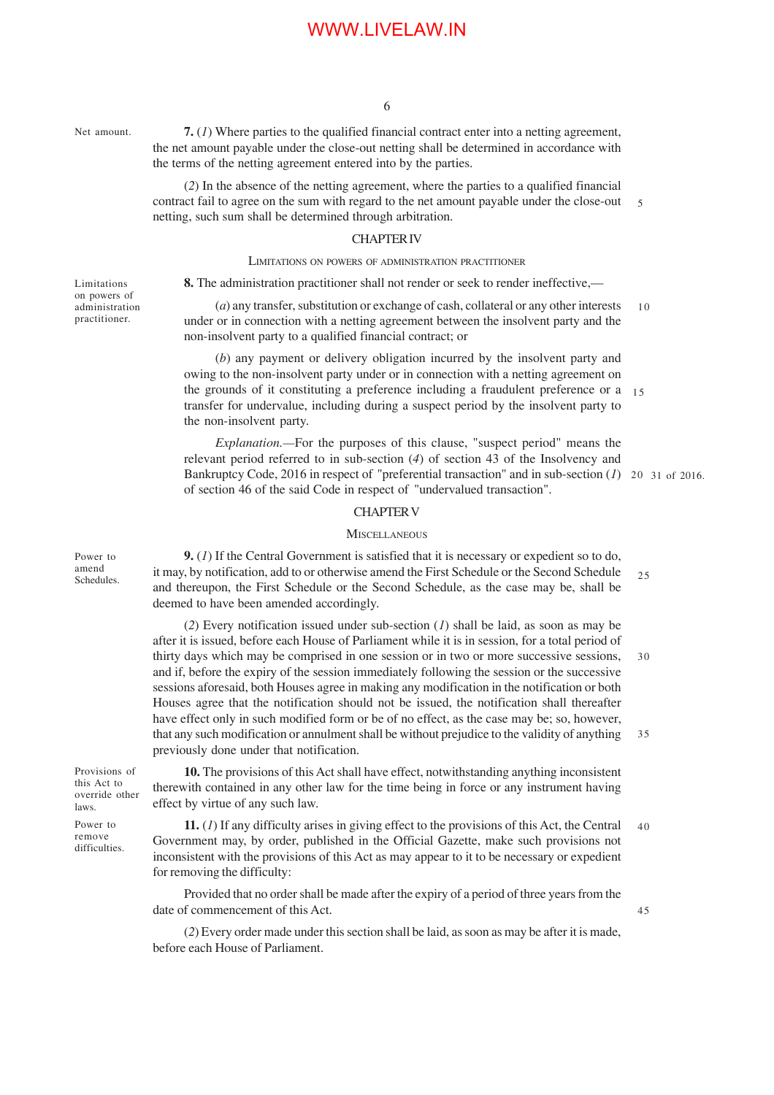Net amount.

Limitations on powers of administration practitioner.

**7.** (*1*) Where parties to the qualified financial contract enter into a netting agreement, the net amount payable under the close-out netting shall be determined in accordance with the terms of the netting agreement entered into by the parties.

(*2*) In the absence of the netting agreement, where the parties to a qualified financial contract fail to agree on the sum with regard to the net amount payable under the close-out netting, such sum shall be determined through arbitration. 5

### CHAPTER IV

#### LIMITATIONS ON POWERS OF ADMINISTRATION PRACTITIONER

**8.** The administration practitioner shall not render or seek to render ineffective,—

(*a*) any transfer, substitution or exchange of cash, collateral or any other interests under or in connection with a netting agreement between the insolvent party and the non-insolvent party to a qualified financial contract; or 10

(*b*) any payment or delivery obligation incurred by the insolvent party and owing to the non-insolvent party under or in connection with a netting agreement on the grounds of it constituting a preference including a fraudulent preference or a transfer for undervalue, including during a suspect period by the insolvent party to the non-insolvent party. 15

*Explanation.—*For the purposes of this clause, "suspect period" means the relevant period referred to in sub-section (*4*) of section 43 of the Insolvency and Bankruptcy Code, 2016 in respect of "preferential transaction" and in sub-section (1) 20 31 of 2016. of section 46 of the said Code in respect of "undervalued transaction".

## CHAPTER V

#### **MISCELLANEOUS**

**9.** (*1*) If the Central Government is satisfied that it is necessary or expedient so to do, it may, by notification, add to or otherwise amend the First Schedule or the Second Schedule and thereupon, the First Schedule or the Second Schedule, as the case may be, shall be deemed to have been amended accordingly. 25

(*2*) Every notification issued under sub-section (*1*) shall be laid, as soon as may be after it is issued, before each House of Parliament while it is in session, for a total period of thirty days which may be comprised in one session or in two or more successive sessions, and if, before the expiry of the session immediately following the session or the successive sessions aforesaid, both Houses agree in making any modification in the notification or both Houses agree that the notification should not be issued, the notification shall thereafter have effect only in such modified form or be of no effect, as the case may be; so, however, that any such modification or annulment shall be without prejudice to the validity of anything previously done under that notification. 30 35

Provisions of this Act to override other laws.

Power to remove difficulties.

**10.** The provisions of this Act shall have effect, notwithstanding anything inconsistent therewith contained in any other law for the time being in force or any instrument having effect by virtue of any such law.

**11.** (*1*) If any difficulty arises in giving effect to the provisions of this Act, the Central Government may, by order, published in the Official Gazette, make such provisions not inconsistent with the provisions of this Act as may appear to it to be necessary or expedient for removing the difficulty: 40

45

Provided that no order shall be made after the expiry of a period of three years from the date of commencement of this Act.

(*2*) Every order made under this section shall be laid, as soon as may be after it is made, before each House of Parliament.

Power to amend Schedules.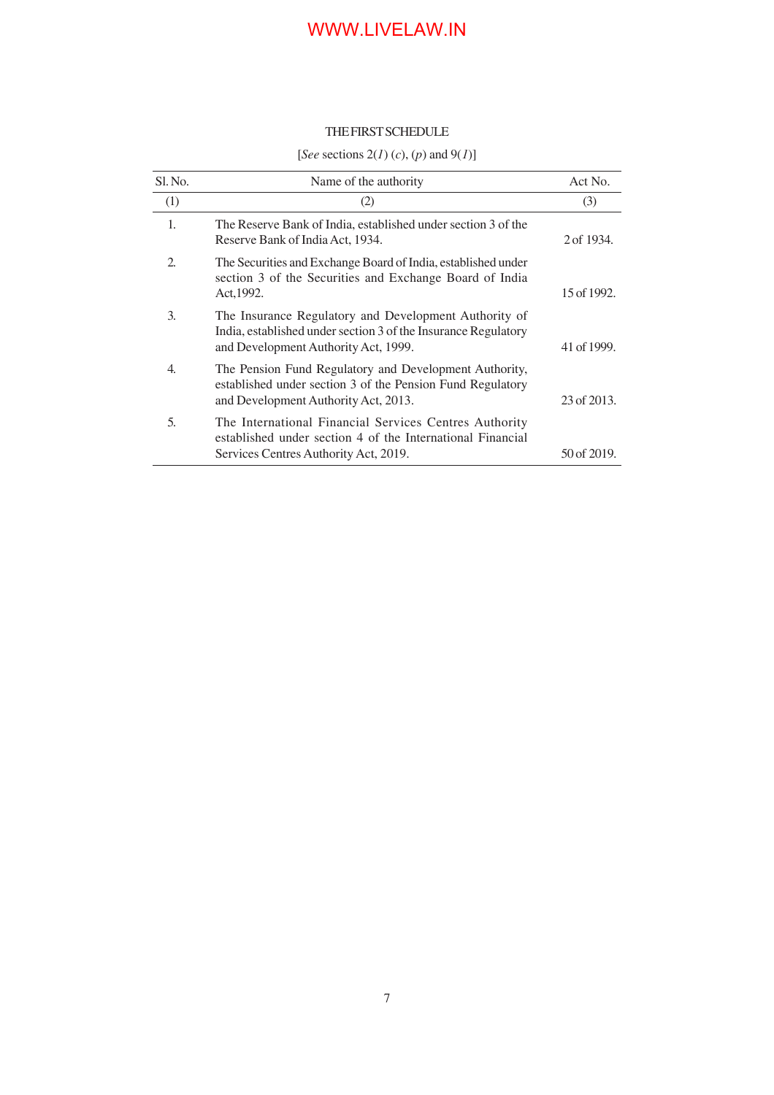## THE FIRST SCHEDULE

## [*See* sections 2(*1*) (*c*), (*p*) and 9(*1*)]

| Sl. No. | Name of the authority                                                                                                                                           | Act No.     |
|---------|-----------------------------------------------------------------------------------------------------------------------------------------------------------------|-------------|
| (1)     | (2)                                                                                                                                                             | (3)         |
| 1.      | The Reserve Bank of India, established under section 3 of the<br>Reserve Bank of India Act, 1934.                                                               | 2 of 1934.  |
| 2.      | The Securities and Exchange Board of India, established under<br>section 3 of the Securities and Exchange Board of India<br>Act, 1992.                          | 15 of 1992. |
| 3.      | The Insurance Regulatory and Development Authority of<br>India, established under section 3 of the Insurance Regulatory<br>and Development Authority Act, 1999. | 41 of 1999. |
| 4.      | The Pension Fund Regulatory and Development Authority,<br>established under section 3 of the Pension Fund Regulatory<br>and Development Authority Act, 2013.    | 23 of 2013. |
| 5.      | The International Financial Services Centres Authority<br>established under section 4 of the International Financial<br>Services Centres Authority Act, 2019.   | 50 of 2019. |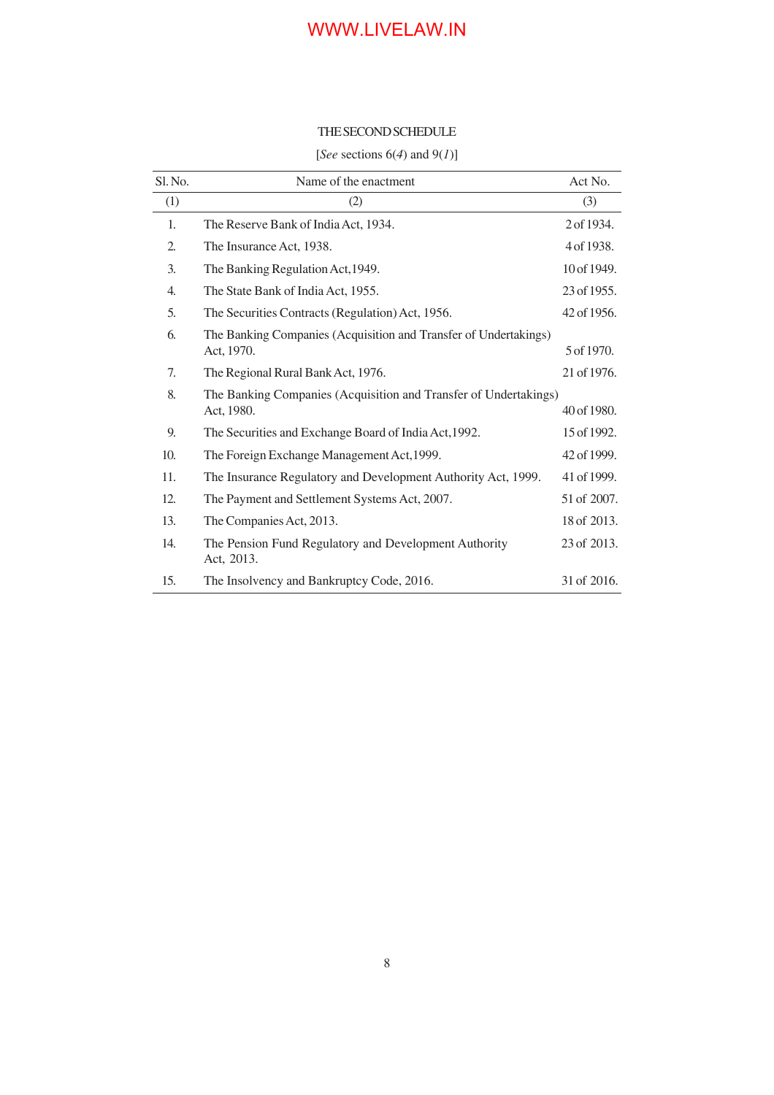## THE SECOND SCHEDULE

## [*See* sections 6(*4*) and 9(*1*)]

| Sl. No. | Name of the enactment                                                          | Act No.     |
|---------|--------------------------------------------------------------------------------|-------------|
| (1)     | (2)                                                                            | (3)         |
| 1.      | The Reserve Bank of India Act, 1934.                                           | 2 of 1934.  |
| 2.      | The Insurance Act, 1938.                                                       | 4 of 1938.  |
| 3.      | The Banking Regulation Act, 1949.                                              | 10 of 1949. |
| 4.      | The State Bank of India Act, 1955.                                             | 23 of 1955. |
| 5.      | The Securities Contracts (Regulation) Act, 1956.                               | 42 of 1956. |
| 6.      | The Banking Companies (Acquisition and Transfer of Undertakings)<br>Act, 1970. | 5 of 1970.  |
| 7.      | The Regional Rural Bank Act, 1976.                                             | 21 of 1976. |
| 8.      | The Banking Companies (Acquisition and Transfer of Undertakings)<br>Act, 1980. | 40 of 1980. |
| 9.      | The Securities and Exchange Board of India Act, 1992.                          | 15 of 1992. |
| 10.     | The Foreign Exchange Management Act, 1999.                                     | 42 of 1999. |
| 11.     | The Insurance Regulatory and Development Authority Act, 1999.                  | 41 of 1999. |
| 12.     | The Payment and Settlement Systems Act, 2007.                                  | 51 of 2007. |
| 13.     | The Companies Act, 2013.                                                       | 18 of 2013. |
| 14.     | The Pension Fund Regulatory and Development Authority<br>Act, 2013.            | 23 of 2013. |
| 15.     | The Insolvency and Bankruptcy Code, 2016.                                      | 31 of 2016. |
|         |                                                                                |             |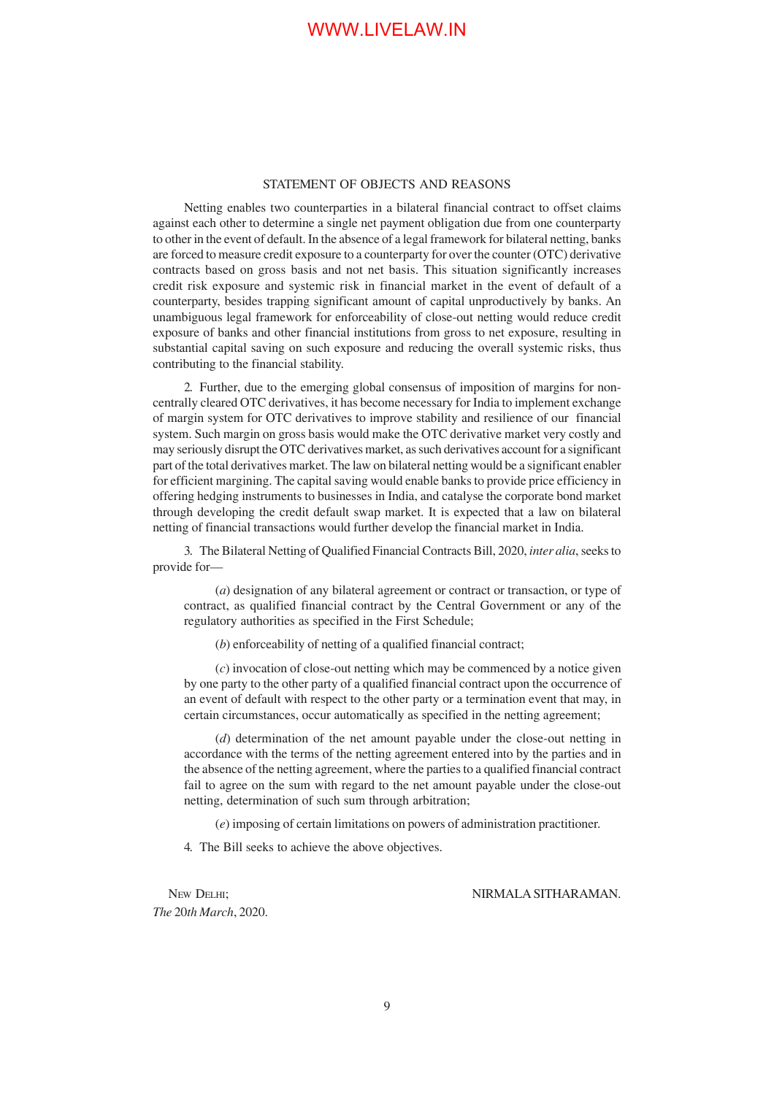### STATEMENT OF OBJECTS AND REASONS

Netting enables two counterparties in a bilateral financial contract to offset claims against each other to determine a single net payment obligation due from one counterparty to other in the event of default. In the absence of a legal framework for bilateral netting, banks are forced to measure credit exposure to a counterparty for over the counter (OTC) derivative contracts based on gross basis and not net basis. This situation significantly increases credit risk exposure and systemic risk in financial market in the event of default of a counterparty, besides trapping significant amount of capital unproductively by banks. An unambiguous legal framework for enforceability of close-out netting would reduce credit exposure of banks and other financial institutions from gross to net exposure, resulting in substantial capital saving on such exposure and reducing the overall systemic risks, thus contributing to the financial stability.

2. Further, due to the emerging global consensus of imposition of margins for noncentrally cleared OTC derivatives, it has become necessary for India to implement exchange of margin system for OTC derivatives to improve stability and resilience of our financial system. Such margin on gross basis would make the OTC derivative market very costly and may seriously disrupt the OTC derivatives market, as such derivatives account for a significant part of the total derivatives market. The law on bilateral netting would be a significant enabler for efficient margining. The capital saving would enable banks to provide price efficiency in offering hedging instruments to businesses in India, and catalyse the corporate bond market through developing the credit default swap market. It is expected that a law on bilateral netting of financial transactions would further develop the financial market in India.

3. The Bilateral Netting of Qualified Financial Contracts Bill, 2020, *inter alia*, seeks to provide for—

(*a*) designation of any bilateral agreement or contract or transaction, or type of contract, as qualified financial contract by the Central Government or any of the regulatory authorities as specified in the First Schedule;

(*b*) enforceability of netting of a qualified financial contract;

(*c*) invocation of close-out netting which may be commenced by a notice given by one party to the other party of a qualified financial contract upon the occurrence of an event of default with respect to the other party or a termination event that may, in certain circumstances, occur automatically as specified in the netting agreement;

(*d*) determination of the net amount payable under the close-out netting in accordance with the terms of the netting agreement entered into by the parties and in the absence of the netting agreement, where the parties to a qualified financial contract fail to agree on the sum with regard to the net amount payable under the close-out netting, determination of such sum through arbitration;

(*e*) imposing of certain limitations on powers of administration practitioner.

4. The Bill seeks to achieve the above objectives.

*The* 20*th March*, 2020.

NEW DELHI; NIRMALA SITHARAMAN.